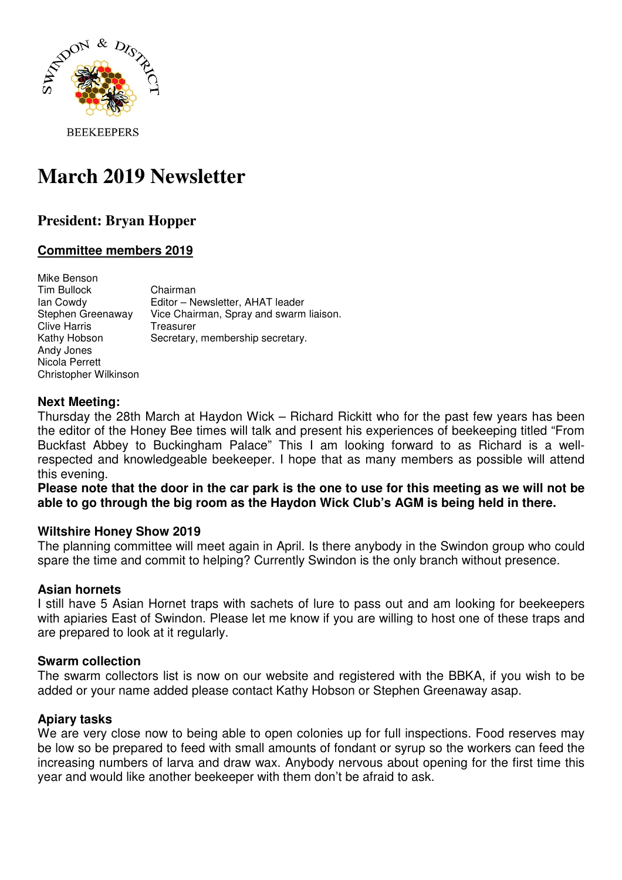

# **March 2019 Newsletter**

# **President: Bryan Hopper**

# **Committee members 2019**

| Mike Benson           |                                         |
|-----------------------|-----------------------------------------|
| Tim Bullock           | Chairman                                |
| lan Cowdy             | Editor - Newsletter, AHAT leader        |
| Stephen Greenaway     | Vice Chairman, Spray and swarm liaison. |
| <b>Clive Harris</b>   | Treasurer                               |
| Kathy Hobson          | Secretary, membership secretary.        |
| Andy Jones            |                                         |
| Nicola Perrett        |                                         |
| Christopher Wilkinson |                                         |

#### **Next Meeting:**

Thursday the 28th March at Haydon Wick – Richard Rickitt who for the past few years has been the editor of the Honey Bee times will talk and present his experiences of beekeeping titled "From Buckfast Abbey to Buckingham Palace" This I am looking forward to as Richard is a wellrespected and knowledgeable beekeeper. I hope that as many members as possible will attend this evening.

**Please note that the door in the car park is the one to use for this meeting as we will not be able to go through the big room as the Haydon Wick Club's AGM is being held in there.** 

#### **Wiltshire Honey Show 2019**

The planning committee will meet again in April. Is there anybody in the Swindon group who could spare the time and commit to helping? Currently Swindon is the only branch without presence.

#### **Asian hornets**

I still have 5 Asian Hornet traps with sachets of lure to pass out and am looking for beekeepers with apiaries East of Swindon. Please let me know if you are willing to host one of these traps and are prepared to look at it regularly.

#### **Swarm collection**

The swarm collectors list is now on our website and registered with the BBKA, if you wish to be added or your name added please contact Kathy Hobson or Stephen Greenaway asap.

#### **Apiary tasks**

We are very close now to being able to open colonies up for full inspections. Food reserves may be low so be prepared to feed with small amounts of fondant or syrup so the workers can feed the increasing numbers of larva and draw wax. Anybody nervous about opening for the first time this year and would like another beekeeper with them don't be afraid to ask.